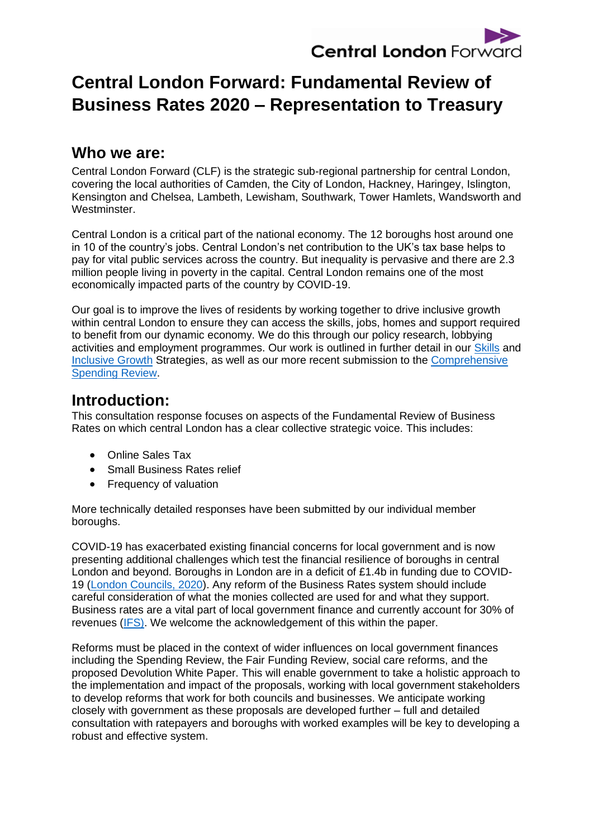

# **Central London Forward: Fundamental Review of Business Rates 2020 – Representation to Treasury**

### **Who we are:**

Central London Forward (CLF) is the strategic sub-regional partnership for central London, covering the local authorities of Camden, the City of London, Hackney, Haringey, Islington, Kensington and Chelsea, Lambeth, Lewisham, Southwark, Tower Hamlets, Wandsworth and Westminster.

Central London is a critical part of the national economy. The 12 boroughs host around one in 10 of the country's jobs. Central London's net contribution to the UK's tax base helps to pay for vital public services across the country. But inequality is pervasive and there are 2.3 million people living in poverty in the capital. Central London remains one of the most economically impacted parts of the country by COVID-19.

Our goal is to improve the lives of residents by working together to drive inclusive growth within central London to ensure they can access the skills, jobs, homes and support required to benefit from our dynamic economy. We do this through our policy research, lobbying activities and employment programmes. Our work is outlined in further detail in our [Skills](http://centrallondonforward.gov.uk/wp-content/uploads/2019/06/CLFJ6952-Skills-strategy-190723-WEB.pdf) and [Inclusive Growth](http://centrallondonforward.gov.uk/wp-content/uploads/2019/08/CLFJ6952-IGS-text-190802-WEB2.pdf) Strategies, as well as our more recent submission to the [Comprehensive](https://centrallondonforward.gov.uk/wp-content/uploads/2020/09/Central-London-Forward-CSR-2020-FINAL.pdf)  [Spending Review.](https://centrallondonforward.gov.uk/wp-content/uploads/2020/09/Central-London-Forward-CSR-2020-FINAL.pdf)

### **Introduction:**

This consultation response focuses on aspects of the Fundamental Review of Business Rates on which central London has a clear collective strategic voice. This includes:

- Online Sales Tax
- Small Business Rates relief
- Frequency of valuation

More technically detailed responses have been submitted by our individual member boroughs.

COVID-19 has exacerbated existing financial concerns for local government and is now presenting additional challenges which test the financial resilience of boroughs in central London and beyond. Boroughs in London are in a deficit of £1.4b in funding due to COVID-19 [\(London Councils,](https://www.londoncouncils.gov.uk/sites/default/files/CSR%202020%20submission_2.pdf) 2020). Any reform of the Business Rates system should include careful consideration of what the monies collected are used for and what they support. Business rates are a vital part of local government finance and currently account for 30% of revenues [\(IFS\).](https://www.ifs.org.uk/publications/14563) We welcome the acknowledgement of this within the paper.

Reforms must be placed in the context of wider influences on local government finances including the Spending Review, the Fair Funding Review, social care reforms, and the proposed Devolution White Paper. This will enable government to take a holistic approach to the implementation and impact of the proposals, working with local government stakeholders to develop reforms that work for both councils and businesses. We anticipate working closely with government as these proposals are developed further – full and detailed consultation with ratepayers and boroughs with worked examples will be key to developing a robust and effective system.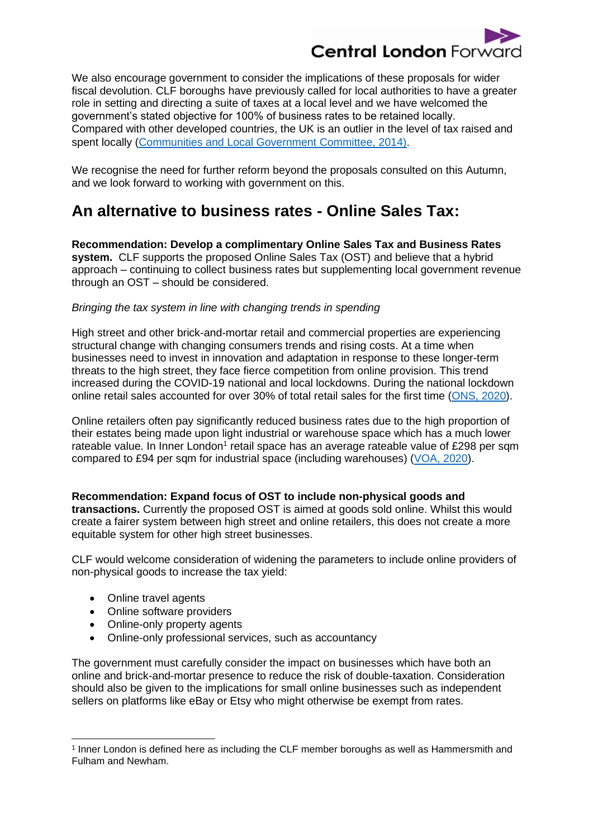

We also encourage government to consider the implications of these proposals for wider fiscal devolution. CLF boroughs have previously called for local authorities to have a greater role in setting and directing a suite of taxes at a local level and we have welcomed the government's stated objective for 100% of business rates to be retained locally. Compared with other developed countries, the UK is an outlier in the level of tax raised and spent locally [\(Communities and Local Government Committee, 2014\).](https://publications.parliament.uk/pa/cm201415/cmselect/cmcomloc/503/50305.htm)

We recognise the need for further reform beyond the proposals consulted on this Autumn, and we look forward to working with government on this.

### **An alternative to business rates - Online Sales Tax:**

**Recommendation: Develop a complimentary Online Sales Tax and Business Rates system.** CLF supports the proposed Online Sales Tax (OST) and believe that a hybrid approach – continuing to collect business rates but supplementing local government revenue through an OST – should be considered.

#### *Bringing the tax system in line with changing trends in spending*

High street and other brick-and-mortar retail and commercial properties are experiencing structural change with changing consumers trends and rising costs. At a time when businesses need to invest in innovation and adaptation in response to these longer-term threats to the high street, they face fierce competition from online provision. This trend increased during the COVID-19 national and local lockdowns. During the national lockdown online retail sales accounted for over 30% of total retail sales for the first time [\(ONS,](https://www.ons.gov.uk/businessindustryandtrade/retailindustry/bulletins/retailsales/august2020#retail-sectors-during-the-coronavirus-pandemic) 2020).

Online retailers often pay significantly reduced business rates due to the high proportion of their estates being made upon light industrial or warehouse space which has a much lower rateable value. In Inner London<sup>1</sup> retail space has an average rateable value of £298 per sqm compared to £94 per sqm for industrial space (including warehouses) [\(VOA, 2020\)](https://www.gov.uk/government/statistics/non-domestic-rating-stock-of-properties-2020).

**Recommendation: Expand focus of OST to include non-physical goods and transactions.** Currently the proposed OST is aimed at goods sold online. Whilst this would create a fairer system between high street and online retailers, this does not create a more equitable system for other high street businesses.

CLF would welcome consideration of widening the parameters to include online providers of non-physical goods to increase the tax yield:

- Online travel agents
- Online software providers
- Online-only property agents
- Online-only professional services, such as accountancy

The government must carefully consider the impact on businesses which have both an online and brick-and-mortar presence to reduce the risk of double-taxation. Consideration should also be given to the implications for small online businesses such as independent sellers on platforms like eBay or Etsy who might otherwise be exempt from rates.

<sup>1</sup> Inner London is defined here as including the CLF member boroughs as well as Hammersmith and Fulham and Newham.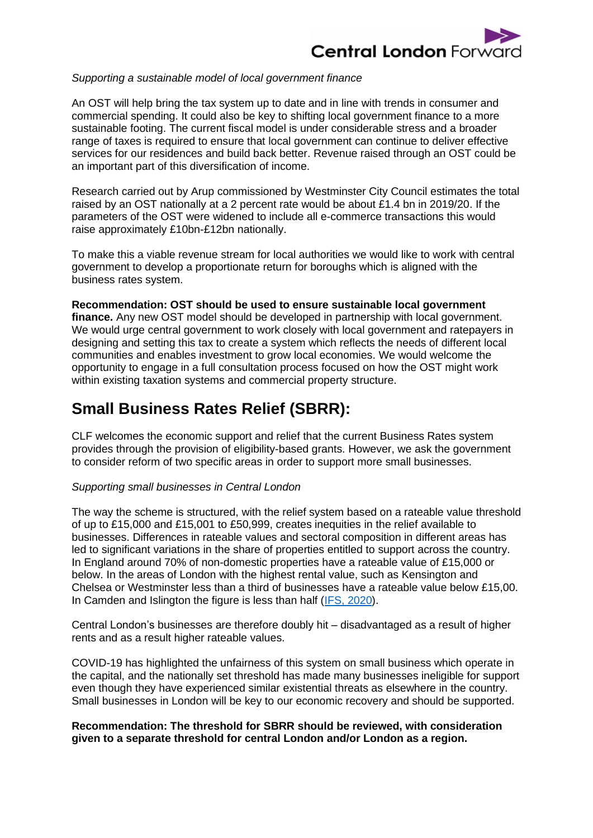

#### *Supporting a sustainable model of local government finance*

An OST will help bring the tax system up to date and in line with trends in consumer and commercial spending. It could also be key to shifting local government finance to a more sustainable footing. The current fiscal model is under considerable stress and a broader range of taxes is required to ensure that local government can continue to deliver effective services for our residences and build back better. Revenue raised through an OST could be an important part of this diversification of income.

Research carried out by Arup commissioned by Westminster City Council estimates the total raised by an OST nationally at a 2 percent rate would be about £1.4 bn in 2019/20. If the parameters of the OST were widened to include all e-commerce transactions this would raise approximately £10bn-£12bn nationally.

To make this a viable revenue stream for local authorities we would like to work with central government to develop a proportionate return for boroughs which is aligned with the business rates system.

**Recommendation: OST should be used to ensure sustainable local government finance.** Any new OST model should be developed in partnership with local government. We would urge central government to work closely with local government and ratepayers in designing and setting this tax to create a system which reflects the needs of different local communities and enables investment to grow local economies. We would welcome the opportunity to engage in a full consultation process focused on how the OST might work within existing taxation systems and commercial property structure.

## **Small Business Rates Relief (SBRR):**

CLF welcomes the economic support and relief that the current Business Rates system provides through the provision of eligibility-based grants. However, we ask the government to consider reform of two specific areas in order to support more small businesses.

#### *Supporting small businesses in Central London*

The way the scheme is structured, with the relief system based on a rateable value threshold of up to £15,000 and £15,001 to £50,999, creates inequities in the relief available to businesses. Differences in rateable values and sectoral composition in different areas has led to significant variations in the share of properties entitled to support across the country. In England around 70% of non-domestic properties have a rateable value of £15,000 or below. In the areas of London with the highest rental value, such as Kensington and Chelsea or Westminster less than a third of businesses have a rateable value below £15,00. In Camden and Islington the figure is less than half [\(IFS, 2020\)](https://www.ifs.org.uk/uploads/BN293-COVID-19-support-through-the-business-rates-system.pdf).

Central London's businesses are therefore doubly hit – disadvantaged as a result of higher rents and as a result higher rateable values.

COVID-19 has highlighted the unfairness of this system on small business which operate in the capital, and the nationally set threshold has made many businesses ineligible for support even though they have experienced similar existential threats as elsewhere in the country. Small businesses in London will be key to our economic recovery and should be supported.

#### **Recommendation: The threshold for SBRR should be reviewed, with consideration given to a separate threshold for central London and/or London as a region.**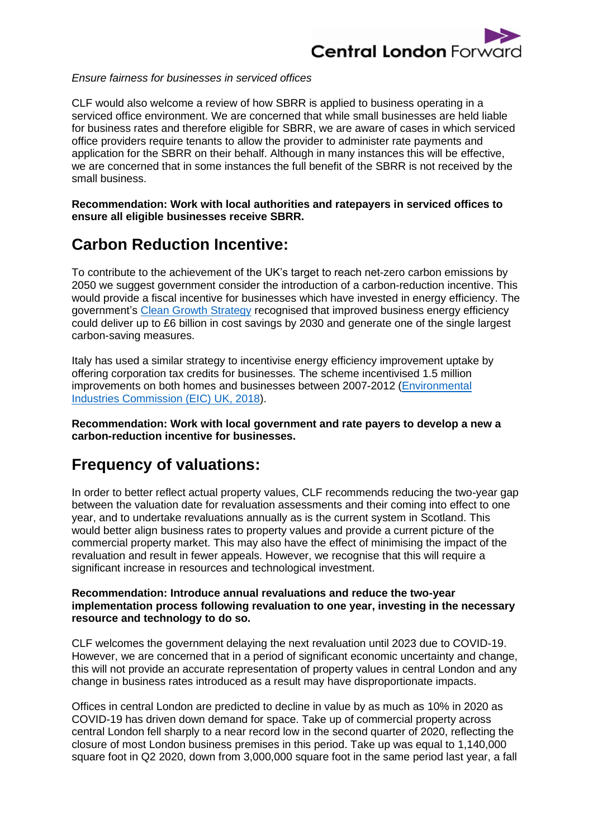

#### *Ensure fairness for businesses in serviced offices*

CLF would also welcome a review of how SBRR is applied to business operating in a serviced office environment. We are concerned that while small businesses are held liable for business rates and therefore eligible for SBRR, we are aware of cases in which serviced office providers require tenants to allow the provider to administer rate payments and application for the SBRR on their behalf. Although in many instances this will be effective, we are concerned that in some instances the full benefit of the SBRR is not received by the small business.

**Recommendation: Work with local authorities and ratepayers in serviced offices to ensure all eligible businesses receive SBRR.** 

## **Carbon Reduction Incentive:**

To contribute to the achievement of the UK's target to reach net-zero carbon emissions by 2050 we suggest government consider the introduction of a carbon-reduction incentive. This would provide a fiscal incentive for businesses which have invested in energy efficiency. The government's [Clean Growth Strategy](https://assets.publishing.service.gov.uk/government/uploads/system/uploads/attachment_data/file/700496/clean-growth-strategy-correction-april-2018.pdf) recognised that improved business energy efficiency could deliver up to £6 billion in cost savings by 2030 and generate one of the single largest carbon-saving measures.

Italy has used a similar strategy to incentivise energy efficiency improvement uptake by offering corporation tax credits for businesses. The scheme incentivised 1.5 million improvements on both homes and businesses between 2007-2012 [\(Environmental](http://eic-uk.co.uk/wp-content/uploads/2018/08/Improving-non-domestic-energy-efficiency-after-Brexit-8.18.pdf)  [Industries Commission \(EIC\)](http://eic-uk.co.uk/wp-content/uploads/2018/08/Improving-non-domestic-energy-efficiency-after-Brexit-8.18.pdf) UK, 2018).

**Recommendation: Work with local government and rate payers to develop a new a carbon-reduction incentive for businesses.**

# **Frequency of valuations:**

In order to better reflect actual property values, CLF recommends reducing the two-year gap between the valuation date for revaluation assessments and their coming into effect to one year, and to undertake revaluations annually as is the current system in Scotland. This would better align business rates to property values and provide a current picture of the commercial property market. This may also have the effect of minimising the impact of the revaluation and result in fewer appeals. However, we recognise that this will require a significant increase in resources and technological investment.

#### **Recommendation: Introduce annual revaluations and reduce the two-year implementation process following revaluation to one year, investing in the necessary resource and technology to do so.**

CLF welcomes the government delaying the next revaluation until 2023 due to COVID-19. However, we are concerned that in a period of significant economic uncertainty and change, this will not provide an accurate representation of property values in central London and any change in business rates introduced as a result may have disproportionate impacts.

Offices in central London are predicted to decline in value by as much as 10% in 2020 as COVID-19 has driven down demand for space. Take up of commercial property across central London fell sharply to a near record low in the second quarter of 2020, reflecting the closure of most London business premises in this period. Take up was equal to 1,140,000 square foot in Q2 2020, down from 3,000,000 square foot in the same period last year, a fall